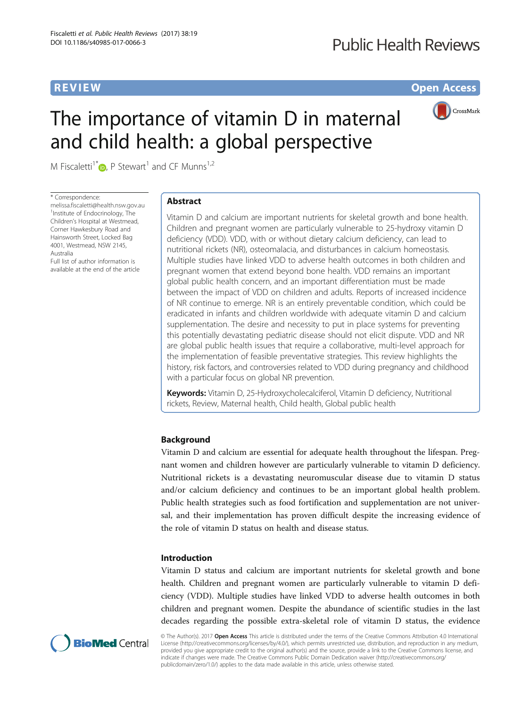**REVIEW REVIEW** *REVIEW* 



# The importance of vitamin D in maternal and child health: a global perspective

M Fiscaletti<sup>1[\\*](http://orcid.org/0000-0003-2092-0691)</sup> $\bullet$ , P Stewart<sup>1</sup> and CF Munns<sup>1,2</sup>

\* Correspondence:

[melissa.fiscaletti@health.nsw.gov.au](mailto:melissa.fiscaletti@health.nsw.gov.au) <sup>1</sup>Institute of Endocrinology, The Children's Hospital at Westmead, Corner Hawkesbury Road and Hainsworth Street, Locked Bag 4001, Westmead, NSW 2145, Australia Full list of author information is

available at the end of the article

# Abstract

Vitamin D and calcium are important nutrients for skeletal growth and bone health. Children and pregnant women are particularly vulnerable to 25-hydroxy vitamin D deficiency (VDD). VDD, with or without dietary calcium deficiency, can lead to nutritional rickets (NR), osteomalacia, and disturbances in calcium homeostasis. Multiple studies have linked VDD to adverse health outcomes in both children and pregnant women that extend beyond bone health. VDD remains an important global public health concern, and an important differentiation must be made between the impact of VDD on children and adults. Reports of increased incidence of NR continue to emerge. NR is an entirely preventable condition, which could be eradicated in infants and children worldwide with adequate vitamin D and calcium supplementation. The desire and necessity to put in place systems for preventing this potentially devastating pediatric disease should not elicit dispute. VDD and NR are global public health issues that require a collaborative, multi-level approach for the implementation of feasible preventative strategies. This review highlights the history, risk factors, and controversies related to VDD during pregnancy and childhood with a particular focus on global NR prevention.

**Keywords:** Vitamin D, 25-Hydroxycholecalciferol, Vitamin D deficiency, Nutritional rickets, Review, Maternal health, Child health, Global public health

# Background

Vitamin D and calcium are essential for adequate health throughout the lifespan. Pregnant women and children however are particularly vulnerable to vitamin D deficiency. Nutritional rickets is a devastating neuromuscular disease due to vitamin D status and/or calcium deficiency and continues to be an important global health problem. Public health strategies such as food fortification and supplementation are not universal, and their implementation has proven difficult despite the increasing evidence of the role of vitamin D status on health and disease status.

# Introduction

Vitamin D status and calcium are important nutrients for skeletal growth and bone health. Children and pregnant women are particularly vulnerable to vitamin D deficiency (VDD). Multiple studies have linked VDD to adverse health outcomes in both children and pregnant women. Despite the abundance of scientific studies in the last decades regarding the possible extra-skeletal role of vitamin D status, the evidence



© The Author(s). 2017 Open Access This article is distributed under the terms of the Creative Commons Attribution 4.0 International License ([http://creativecommons.org/licenses/by/4.0/\)](http://creativecommons.org/licenses/by/4.0/), which permits unrestricted use, distribution, and reproduction in any medium, provided you give appropriate credit to the original author(s) and the source, provide a link to the Creative Commons license, and indicate if changes were made. The Creative Commons Public Domain Dedication waiver ([http://creativecommons.org/](http://creativecommons.org/publicdomain/zero/1.0/) [publicdomain/zero/1.0/\)](http://creativecommons.org/publicdomain/zero/1.0/) applies to the data made available in this article, unless otherwise stated.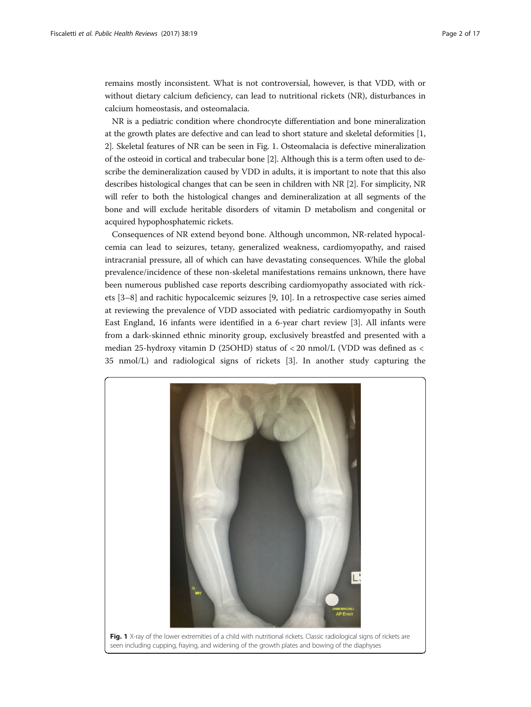remains mostly inconsistent. What is not controversial, however, is that VDD, with or without dietary calcium deficiency, can lead to nutritional rickets (NR), disturbances in calcium homeostasis, and osteomalacia.

NR is a pediatric condition where chondrocyte differentiation and bone mineralization at the growth plates are defective and can lead to short stature and skeletal deformities [[1](#page-13-0), [2](#page-13-0)]. Skeletal features of NR can be seen in Fig. 1. Osteomalacia is defective mineralization of the osteoid in cortical and trabecular bone [[2\]](#page-13-0). Although this is a term often used to describe the demineralization caused by VDD in adults, it is important to note that this also describes histological changes that can be seen in children with NR [\[2\]](#page-13-0). For simplicity, NR will refer to both the histological changes and demineralization at all segments of the bone and will exclude heritable disorders of vitamin D metabolism and congenital or acquired hypophosphatemic rickets.

Consequences of NR extend beyond bone. Although uncommon, NR-related hypocalcemia can lead to seizures, tetany, generalized weakness, cardiomyopathy, and raised intracranial pressure, all of which can have devastating consequences. While the global prevalence/incidence of these non-skeletal manifestations remains unknown, there have been numerous published case reports describing cardiomyopathy associated with rickets [\[3](#page-13-0)–[8\]](#page-13-0) and rachitic hypocalcemic seizures [[9, 10\]](#page-13-0). In a retrospective case series aimed at reviewing the prevalence of VDD associated with pediatric cardiomyopathy in South East England, 16 infants were identified in a 6-year chart review [[3](#page-13-0)]. All infants were from a dark-skinned ethnic minority group, exclusively breastfed and presented with a median 25-hydroxy vitamin D (25OHD) status of < 20 nmol/L (VDD was defined as < 35 nmol/L) and radiological signs of rickets [[3\]](#page-13-0). In another study capturing the

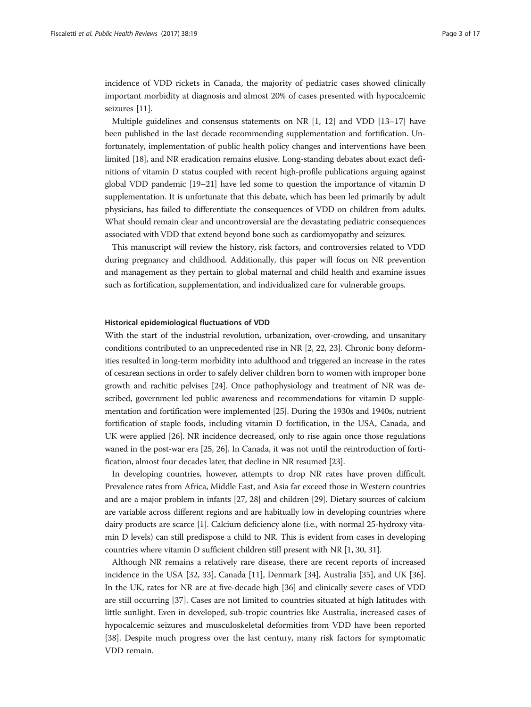incidence of VDD rickets in Canada, the majority of pediatric cases showed clinically important morbidity at diagnosis and almost 20% of cases presented with hypocalcemic seizures [[11\]](#page-13-0).

Multiple guidelines and consensus statements on NR [\[1, 12](#page-13-0)] and VDD [\[13](#page-13-0)–[17](#page-13-0)] have been published in the last decade recommending supplementation and fortification. Unfortunately, implementation of public health policy changes and interventions have been limited [[18](#page-13-0)], and NR eradication remains elusive. Long-standing debates about exact definitions of vitamin D status coupled with recent high-profile publications arguing against global VDD pandemic [\[19](#page-13-0)–[21\]](#page-13-0) have led some to question the importance of vitamin D supplementation. It is unfortunate that this debate, which has been led primarily by adult physicians, has failed to differentiate the consequences of VDD on children from adults. What should remain clear and uncontroversial are the devastating pediatric consequences associated with VDD that extend beyond bone such as cardiomyopathy and seizures.

This manuscript will review the history, risk factors, and controversies related to VDD during pregnancy and childhood. Additionally, this paper will focus on NR prevention and management as they pertain to global maternal and child health and examine issues such as fortification, supplementation, and individualized care for vulnerable groups.

#### Historical epidemiological fluctuations of VDD

With the start of the industrial revolution, urbanization, over-crowding, and unsanitary conditions contributed to an unprecedented rise in NR [\[2, 22](#page-13-0), [23](#page-13-0)]. Chronic bony deformities resulted in long-term morbidity into adulthood and triggered an increase in the rates of cesarean sections in order to safely deliver children born to women with improper bone growth and rachitic pelvises [\[24](#page-13-0)]. Once pathophysiology and treatment of NR was described, government led public awareness and recommendations for vitamin D supplementation and fortification were implemented [\[25\]](#page-13-0). During the 1930s and 1940s, nutrient fortification of staple foods, including vitamin D fortification, in the USA, Canada, and UK were applied [\[26\]](#page-13-0). NR incidence decreased, only to rise again once those regulations waned in the post-war era [\[25, 26](#page-13-0)]. In Canada, it was not until the reintroduction of fortification, almost four decades later, that decline in NR resumed [\[23\]](#page-13-0).

In developing countries, however, attempts to drop NR rates have proven difficult. Prevalence rates from Africa, Middle East, and Asia far exceed those in Western countries and are a major problem in infants [\[27, 28\]](#page-13-0) and children [[29](#page-13-0)]. Dietary sources of calcium are variable across different regions and are habitually low in developing countries where dairy products are scarce [\[1](#page-13-0)]. Calcium deficiency alone (i.e., with normal 25-hydroxy vitamin D levels) can still predispose a child to NR. This is evident from cases in developing countries where vitamin D sufficient children still present with NR [\[1](#page-13-0), [30, 31\]](#page-13-0).

Although NR remains a relatively rare disease, there are recent reports of increased incidence in the USA [\[32, 33\]](#page-13-0), Canada [\[11\]](#page-13-0), Denmark [[34\]](#page-13-0), Australia [\[35\]](#page-13-0), and UK [[36](#page-14-0)]. In the UK, rates for NR are at five-decade high [\[36](#page-14-0)] and clinically severe cases of VDD are still occurring [\[37\]](#page-14-0). Cases are not limited to countries situated at high latitudes with little sunlight. Even in developed, sub-tropic countries like Australia, increased cases of hypocalcemic seizures and musculoskeletal deformities from VDD have been reported [[38\]](#page-14-0). Despite much progress over the last century, many risk factors for symptomatic VDD remain.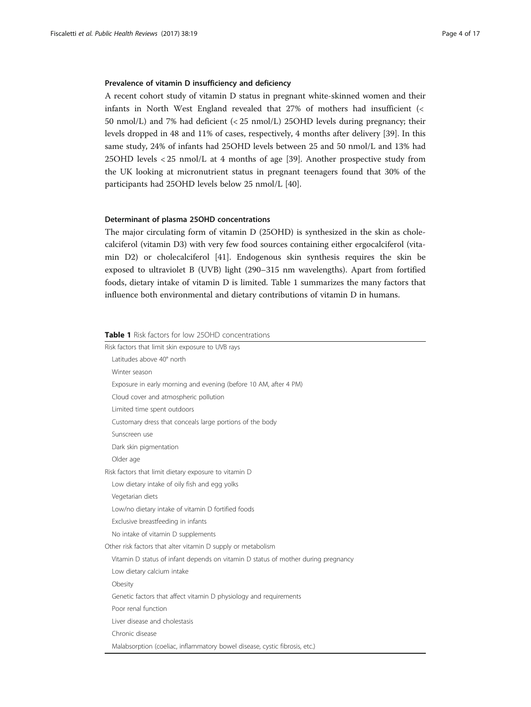# Prevalence of vitamin D insufficiency and deficiency

A recent cohort study of vitamin D status in pregnant white-skinned women and their infants in North West England revealed that 27% of mothers had insufficient (< 50 nmol/L) and 7% had deficient (< 25 nmol/L) 25OHD levels during pregnancy; their levels dropped in 48 and 11% of cases, respectively, 4 months after delivery [[39\]](#page-14-0). In this same study, 24% of infants had 25OHD levels between 25 and 50 nmol/L and 13% had 25OHD levels < 25 nmol/L at 4 months of age [\[39\]](#page-14-0). Another prospective study from the UK looking at micronutrient status in pregnant teenagers found that 30% of the participants had 25OHD levels below 25 nmol/L [\[40\]](#page-14-0).

# Determinant of plasma 25OHD concentrations

The major circulating form of vitamin D (25OHD) is synthesized in the skin as cholecalciferol (vitamin D3) with very few food sources containing either ergocalciferol (vitamin D2) or cholecalciferol [\[41](#page-14-0)]. Endogenous skin synthesis requires the skin be exposed to ultraviolet B (UVB) light (290–315 nm wavelengths). Apart from fortified foods, dietary intake of vitamin D is limited. Table 1 summarizes the many factors that influence both environmental and dietary contributions of vitamin D in humans.

| <b>Table 1</b> Risk factors for low 250HD concentrations |  |
|----------------------------------------------------------|--|
|----------------------------------------------------------|--|

| Risk factors that limit skin exposure to UVB rays                                 |  |
|-----------------------------------------------------------------------------------|--|
| Latitudes above 40° north                                                         |  |
| Winter season                                                                     |  |
| Exposure in early morning and evening (before 10 AM, after 4 PM)                  |  |
| Cloud cover and atmospheric pollution                                             |  |
| Limited time spent outdoors                                                       |  |
| Customary dress that conceals large portions of the body                          |  |
| Sunscreen use                                                                     |  |
| Dark skin pigmentation                                                            |  |
| Older age                                                                         |  |
| Risk factors that limit dietary exposure to vitamin D                             |  |
| Low dietary intake of oily fish and egg yolks                                     |  |
| Vegetarian diets                                                                  |  |
| Low/no dietary intake of vitamin D fortified foods                                |  |
| Exclusive breastfeeding in infants                                                |  |
| No intake of vitamin D supplements                                                |  |
| Other risk factors that alter vitamin D supply or metabolism                      |  |
| Vitamin D status of infant depends on vitamin D status of mother during pregnancy |  |
| Low dietary calcium intake                                                        |  |
| Obesity                                                                           |  |
| Genetic factors that affect vitamin D physiology and requirements                 |  |
| Poor renal function                                                               |  |
| Liver disease and cholestasis                                                     |  |
| Chronic disease                                                                   |  |
| Malabsorption (coeliac, inflammatory bowel disease, cystic fibrosis, etc.)        |  |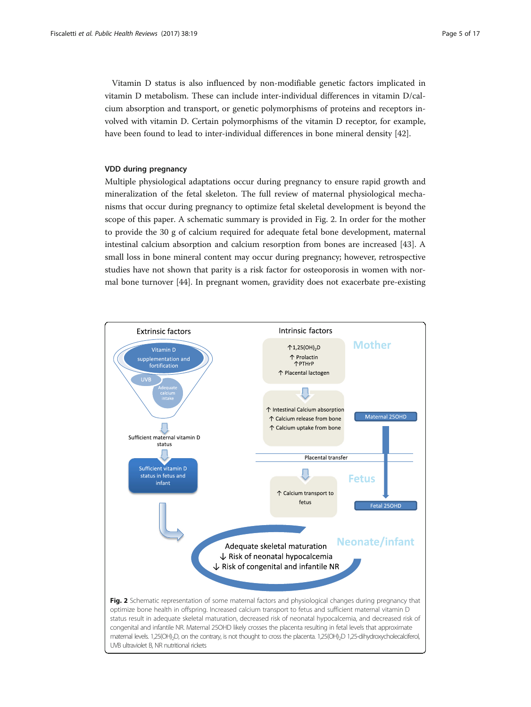Vitamin D status is also influenced by non-modifiable genetic factors implicated in vitamin D metabolism. These can include inter-individual differences in vitamin D/calcium absorption and transport, or genetic polymorphisms of proteins and receptors involved with vitamin D. Certain polymorphisms of the vitamin D receptor, for example, have been found to lead to inter-individual differences in bone mineral density [[42\]](#page-14-0).

# VDD during pregnancy

Multiple physiological adaptations occur during pregnancy to ensure rapid growth and mineralization of the fetal skeleton. The full review of maternal physiological mechanisms that occur during pregnancy to optimize fetal skeletal development is beyond the scope of this paper. A schematic summary is provided in Fig. 2. In order for the mother to provide the 30 g of calcium required for adequate fetal bone development, maternal intestinal calcium absorption and calcium resorption from bones are increased [[43\]](#page-14-0). A small loss in bone mineral content may occur during pregnancy; however, retrospective studies have not shown that parity is a risk factor for osteoporosis in women with normal bone turnover [[44\]](#page-14-0). In pregnant women, gravidity does not exacerbate pre-existing

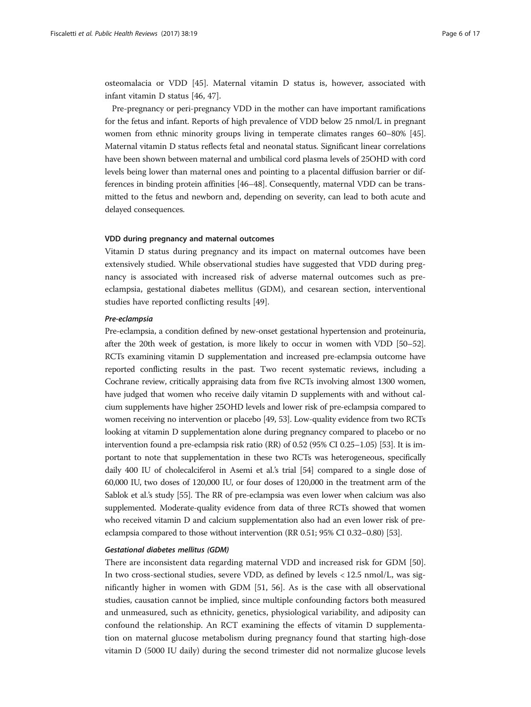osteomalacia or VDD [[45](#page-14-0)]. Maternal vitamin D status is, however, associated with infant vitamin D status [[46, 47\]](#page-14-0).

Pre-pregnancy or peri-pregnancy VDD in the mother can have important ramifications for the fetus and infant. Reports of high prevalence of VDD below 25 nmol/L in pregnant women from ethnic minority groups living in temperate climates ranges 60–80% [[45](#page-14-0)]. Maternal vitamin D status reflects fetal and neonatal status. Significant linear correlations have been shown between maternal and umbilical cord plasma levels of 25OHD with cord levels being lower than maternal ones and pointing to a placental diffusion barrier or differences in binding protein affinities [\[46](#page-14-0)–[48](#page-14-0)]. Consequently, maternal VDD can be transmitted to the fetus and newborn and, depending on severity, can lead to both acute and delayed consequences.

#### VDD during pregnancy and maternal outcomes

Vitamin D status during pregnancy and its impact on maternal outcomes have been extensively studied. While observational studies have suggested that VDD during pregnancy is associated with increased risk of adverse maternal outcomes such as preeclampsia, gestational diabetes mellitus (GDM), and cesarean section, interventional studies have reported conflicting results [\[49\]](#page-14-0).

#### Pre-eclampsia

Pre-eclampsia, a condition defined by new-onset gestational hypertension and proteinuria, after the 20th week of gestation, is more likely to occur in women with VDD [[50](#page-14-0)–[52](#page-14-0)]. RCTs examining vitamin D supplementation and increased pre-eclampsia outcome have reported conflicting results in the past. Two recent systematic reviews, including a Cochrane review, critically appraising data from five RCTs involving almost 1300 women, have judged that women who receive daily vitamin D supplements with and without calcium supplements have higher 25OHD levels and lower risk of pre-eclampsia compared to women receiving no intervention or placebo [\[49, 53](#page-14-0)]. Low-quality evidence from two RCTs looking at vitamin D supplementation alone during pregnancy compared to placebo or no intervention found a pre-eclampsia risk ratio (RR) of 0.52 (95% CI 0.25–1.05) [[53](#page-14-0)]. It is important to note that supplementation in these two RCTs was heterogeneous, specifically daily 400 IU of cholecalciferol in Asemi et al.'s trial [[54](#page-14-0)] compared to a single dose of 60,000 IU, two doses of 120,000 IU, or four doses of 120,000 in the treatment arm of the Sablok et al.'s study [\[55\]](#page-14-0). The RR of pre-eclampsia was even lower when calcium was also supplemented. Moderate-quality evidence from data of three RCTs showed that women who received vitamin D and calcium supplementation also had an even lower risk of preeclampsia compared to those without intervention (RR 0.51; 95% CI 0.32–0.80) [\[53\]](#page-14-0).

# Gestational diabetes mellitus (GDM)

There are inconsistent data regarding maternal VDD and increased risk for GDM [[50](#page-14-0)]. In two cross-sectional studies, severe VDD, as defined by levels < 12.5 nmol/L, was significantly higher in women with GDM [[51](#page-14-0), [56](#page-14-0)]. As is the case with all observational studies, causation cannot be implied, since multiple confounding factors both measured and unmeasured, such as ethnicity, genetics, physiological variability, and adiposity can confound the relationship. An RCT examining the effects of vitamin D supplementation on maternal glucose metabolism during pregnancy found that starting high-dose vitamin D (5000 IU daily) during the second trimester did not normalize glucose levels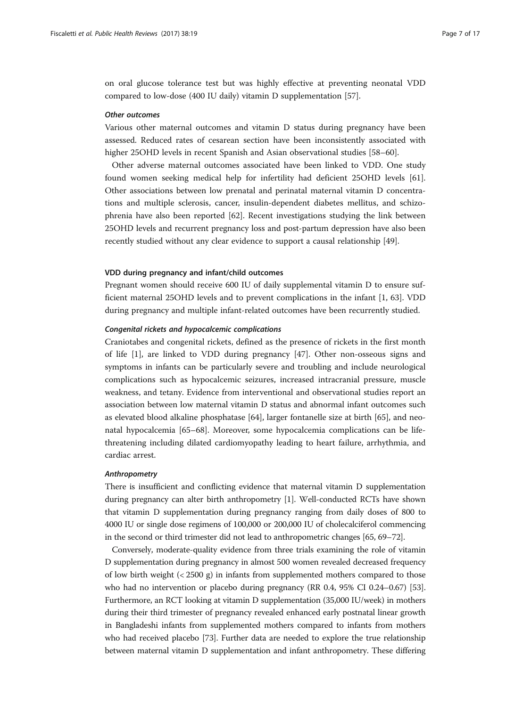on oral glucose tolerance test but was highly effective at preventing neonatal VDD compared to low-dose (400 IU daily) vitamin D supplementation [[57](#page-14-0)].

#### Other outcomes

Various other maternal outcomes and vitamin D status during pregnancy have been assessed. Reduced rates of cesarean section have been inconsistently associated with higher 25OHD levels in recent Spanish and Asian observational studies [[58](#page-14-0)–[60](#page-14-0)].

Other adverse maternal outcomes associated have been linked to VDD. One study found women seeking medical help for infertility had deficient 25OHD levels [[61](#page-14-0)]. Other associations between low prenatal and perinatal maternal vitamin D concentrations and multiple sclerosis, cancer, insulin-dependent diabetes mellitus, and schizophrenia have also been reported [\[62](#page-14-0)]. Recent investigations studying the link between 25OHD levels and recurrent pregnancy loss and post-partum depression have also been recently studied without any clear evidence to support a causal relationship [[49\]](#page-14-0).

#### VDD during pregnancy and infant/child outcomes

Pregnant women should receive 600 IU of daily supplemental vitamin D to ensure sufficient maternal 25OHD levels and to prevent complications in the infant [[1,](#page-13-0) [63](#page-14-0)]. VDD during pregnancy and multiple infant-related outcomes have been recurrently studied.

#### Congenital rickets and hypocalcemic complications

Craniotabes and congenital rickets, defined as the presence of rickets in the first month of life [[1\]](#page-13-0), are linked to VDD during pregnancy [\[47\]](#page-14-0). Other non-osseous signs and symptoms in infants can be particularly severe and troubling and include neurological complications such as hypocalcemic seizures, increased intracranial pressure, muscle weakness, and tetany. Evidence from interventional and observational studies report an association between low maternal vitamin D status and abnormal infant outcomes such as elevated blood alkaline phosphatase [\[64](#page-14-0)], larger fontanelle size at birth [\[65\]](#page-14-0), and neonatal hypocalcemia [\[65](#page-14-0)–[68\]](#page-14-0). Moreover, some hypocalcemia complications can be lifethreatening including dilated cardiomyopathy leading to heart failure, arrhythmia, and cardiac arrest.

# Anthropometry

There is insufficient and conflicting evidence that maternal vitamin D supplementation during pregnancy can alter birth anthropometry [\[1\]](#page-13-0). Well-conducted RCTs have shown that vitamin D supplementation during pregnancy ranging from daily doses of 800 to 4000 IU or single dose regimens of 100,000 or 200,000 IU of cholecalciferol commencing in the second or third trimester did not lead to anthropometric changes [[65,](#page-14-0) [69](#page-15-0)–[72](#page-15-0)].

Conversely, moderate-quality evidence from three trials examining the role of vitamin D supplementation during pregnancy in almost 500 women revealed decreased frequency of low birth weight (< 2500 g) in infants from supplemented mothers compared to those who had no intervention or placebo during pregnancy (RR 0.4, 95% CI 0.24–0.67) [[53](#page-14-0)]. Furthermore, an RCT looking at vitamin D supplementation (35,000 IU/week) in mothers during their third trimester of pregnancy revealed enhanced early postnatal linear growth in Bangladeshi infants from supplemented mothers compared to infants from mothers who had received placebo [\[73\]](#page-15-0). Further data are needed to explore the true relationship between maternal vitamin D supplementation and infant anthropometry. These differing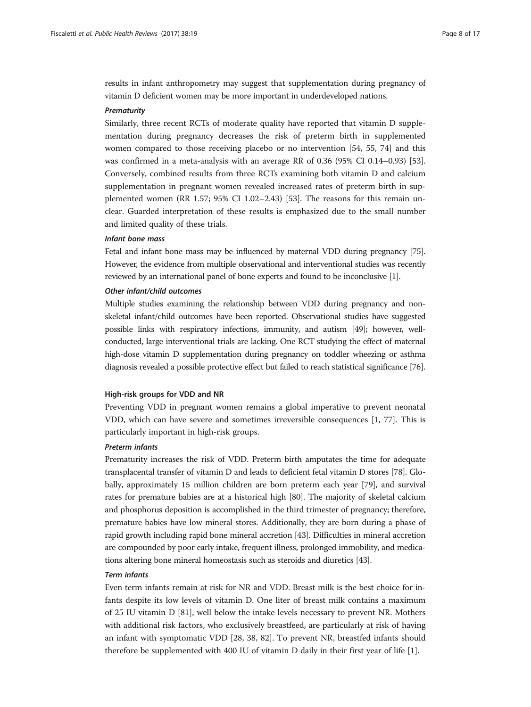results in infant anthropometry may suggest that supplementation during pregnancy of vitamin D deficient women may be more important in underdeveloped nations.

#### **Prematurity**

Similarly, three recent RCTs of moderate quality have reported that vitamin D supplementation during pregnancy decreases the risk of preterm birth in supplemented women compared to those receiving placebo or no intervention [[54, 55,](#page-14-0) [74\]](#page-15-0) and this was confirmed in a meta-analysis with an average RR of 0.36 (95% CI 0.14–0.93) [[53](#page-14-0)]. Conversely, combined results from three RCTs examining both vitamin D and calcium supplementation in pregnant women revealed increased rates of preterm birth in supplemented women (RR 1.57;  $95\%$  CI 1.02–2.43) [[53\]](#page-14-0). The reasons for this remain unclear. Guarded interpretation of these results is emphasized due to the small number and limited quality of these trials.

#### Infant bone mass

Fetal and infant bone mass may be influenced by maternal VDD during pregnancy [[75](#page-15-0)]. However, the evidence from multiple observational and interventional studies was recently reviewed by an international panel of bone experts and found to be inconclusive [[1](#page-13-0)].

# Other infant/child outcomes

Multiple studies examining the relationship between VDD during pregnancy and nonskeletal infant/child outcomes have been reported. Observational studies have suggested possible links with respiratory infections, immunity, and autism [[49](#page-14-0)]; however, wellconducted, large interventional trials are lacking. One RCT studying the effect of maternal high-dose vitamin D supplementation during pregnancy on toddler wheezing or asthma diagnosis revealed a possible protective effect but failed to reach statistical significance [[76](#page-15-0)].

# High-risk groups for VDD and NR

Preventing VDD in pregnant women remains a global imperative to prevent neonatal VDD, which can have severe and sometimes irreversible consequences [[1,](#page-13-0) [77](#page-15-0)]. This is particularly important in high-risk groups.

#### Preterm infants

Prematurity increases the risk of VDD. Preterm birth amputates the time for adequate transplacental transfer of vitamin D and leads to deficient fetal vitamin D stores [[78\]](#page-15-0). Globally, approximately 15 million children are born preterm each year [[79](#page-15-0)], and survival rates for premature babies are at a historical high [[80](#page-15-0)]. The majority of skeletal calcium and phosphorus deposition is accomplished in the third trimester of pregnancy; therefore, premature babies have low mineral stores. Additionally, they are born during a phase of rapid growth including rapid bone mineral accretion [[43](#page-14-0)]. Difficulties in mineral accretion are compounded by poor early intake, frequent illness, prolonged immobility, and medications altering bone mineral homeostasis such as steroids and diuretics [\[43](#page-14-0)].

#### Term infants

Even term infants remain at risk for NR and VDD. Breast milk is the best choice for infants despite its low levels of vitamin D. One liter of breast milk contains a maximum of 25 IU vitamin D [[81](#page-15-0)], well below the intake levels necessary to prevent NR. Mothers with additional risk factors, who exclusively breastfeed, are particularly at risk of having an infant with symptomatic VDD [[28,](#page-13-0) [38,](#page-14-0) [82](#page-15-0)]. To prevent NR, breastfed infants should therefore be supplemented with 400 IU of vitamin D daily in their first year of life [\[1](#page-13-0)].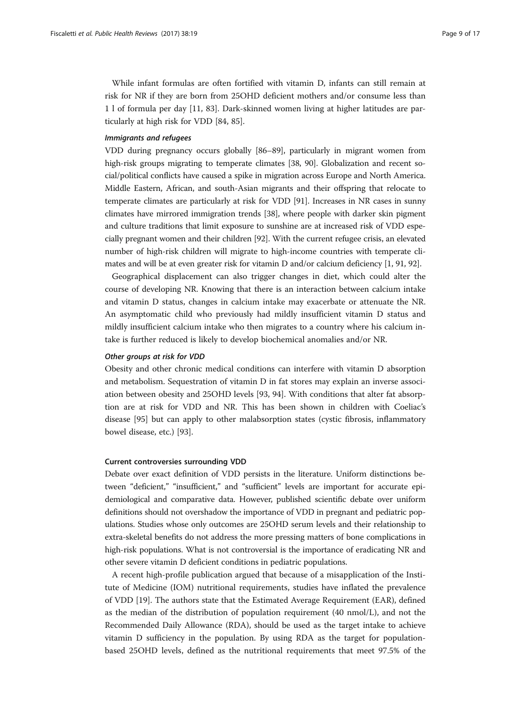While infant formulas are often fortified with vitamin D, infants can still remain at risk for NR if they are born from 25OHD deficient mothers and/or consume less than 1 l of formula per day [[11,](#page-13-0) [83\]](#page-15-0). Dark-skinned women living at higher latitudes are particularly at high risk for VDD [[84](#page-15-0), [85](#page-15-0)].

# Immigrants and refugees

VDD during pregnancy occurs globally [[86](#page-15-0)–[89\]](#page-15-0), particularly in migrant women from high-risk groups migrating to temperate climates [\[38,](#page-14-0) [90](#page-15-0)]. Globalization and recent social/political conflicts have caused a spike in migration across Europe and North America. Middle Eastern, African, and south-Asian migrants and their offspring that relocate to temperate climates are particularly at risk for VDD [\[91](#page-15-0)]. Increases in NR cases in sunny climates have mirrored immigration trends [\[38\]](#page-14-0), where people with darker skin pigment and culture traditions that limit exposure to sunshine are at increased risk of VDD especially pregnant women and their children [\[92\]](#page-15-0). With the current refugee crisis, an elevated number of high-risk children will migrate to high-income countries with temperate climates and will be at even greater risk for vitamin D and/or calcium deficiency [\[1](#page-13-0), [91](#page-15-0), [92\]](#page-15-0).

Geographical displacement can also trigger changes in diet, which could alter the course of developing NR. Knowing that there is an interaction between calcium intake and vitamin D status, changes in calcium intake may exacerbate or attenuate the NR. An asymptomatic child who previously had mildly insufficient vitamin D status and mildly insufficient calcium intake who then migrates to a country where his calcium intake is further reduced is likely to develop biochemical anomalies and/or NR.

# Other groups at risk for VDD

Obesity and other chronic medical conditions can interfere with vitamin D absorption and metabolism. Sequestration of vitamin D in fat stores may explain an inverse association between obesity and 25OHD levels [[93, 94](#page-15-0)]. With conditions that alter fat absorption are at risk for VDD and NR. This has been shown in children with Coeliac's disease [\[95](#page-15-0)] but can apply to other malabsorption states (cystic fibrosis, inflammatory bowel disease, etc.) [[93\]](#page-15-0).

#### Current controversies surrounding VDD

Debate over exact definition of VDD persists in the literature. Uniform distinctions between "deficient," "insufficient," and "sufficient" levels are important for accurate epidemiological and comparative data. However, published scientific debate over uniform definitions should not overshadow the importance of VDD in pregnant and pediatric populations. Studies whose only outcomes are 25OHD serum levels and their relationship to extra-skeletal benefits do not address the more pressing matters of bone complications in high-risk populations. What is not controversial is the importance of eradicating NR and other severe vitamin D deficient conditions in pediatric populations.

A recent high-profile publication argued that because of a misapplication of the Institute of Medicine (IOM) nutritional requirements, studies have inflated the prevalence of VDD [[19](#page-13-0)]. The authors state that the Estimated Average Requirement (EAR), defined as the median of the distribution of population requirement (40 nmol/L), and not the Recommended Daily Allowance (RDA), should be used as the target intake to achieve vitamin D sufficiency in the population. By using RDA as the target for populationbased 25OHD levels, defined as the nutritional requirements that meet 97.5% of the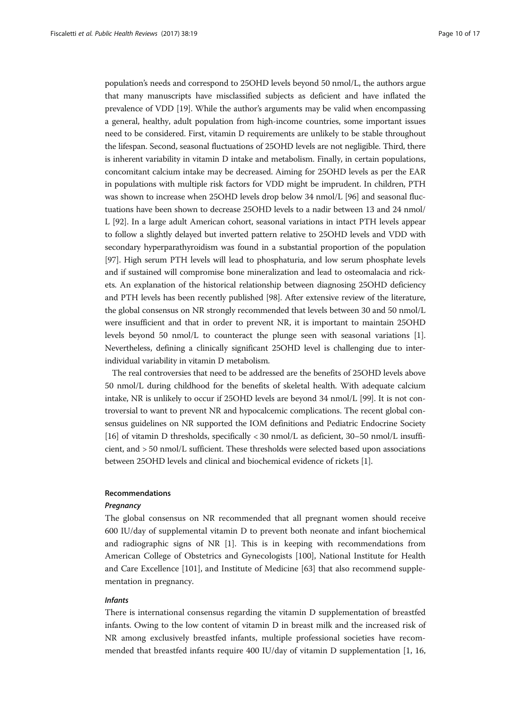population's needs and correspond to 25OHD levels beyond 50 nmol/L, the authors argue that many manuscripts have misclassified subjects as deficient and have inflated the prevalence of VDD [\[19\]](#page-13-0). While the author's arguments may be valid when encompassing a general, healthy, adult population from high-income countries, some important issues need to be considered. First, vitamin D requirements are unlikely to be stable throughout the lifespan. Second, seasonal fluctuations of 25OHD levels are not negligible. Third, there is inherent variability in vitamin D intake and metabolism. Finally, in certain populations, concomitant calcium intake may be decreased. Aiming for 25OHD levels as per the EAR in populations with multiple risk factors for VDD might be imprudent. In children, PTH was shown to increase when 25OHD levels drop below 34 nmol/L [\[96\]](#page-15-0) and seasonal fluctuations have been shown to decrease 25OHD levels to a nadir between 13 and 24 nmol/ L [\[92](#page-15-0)]. In a large adult American cohort, seasonal variations in intact PTH levels appear to follow a slightly delayed but inverted pattern relative to 25OHD levels and VDD with secondary hyperparathyroidism was found in a substantial proportion of the population [[97](#page-15-0)]. High serum PTH levels will lead to phosphaturia, and low serum phosphate levels and if sustained will compromise bone mineralization and lead to osteomalacia and rickets. An explanation of the historical relationship between diagnosing 25OHD deficiency and PTH levels has been recently published [[98](#page-15-0)]. After extensive review of the literature, the global consensus on NR strongly recommended that levels between 30 and 50 nmol/L were insufficient and that in order to prevent NR, it is important to maintain 25OHD levels beyond 50 nmol/L to counteract the plunge seen with seasonal variations [[1](#page-13-0)]. Nevertheless, defining a clinically significant 25OHD level is challenging due to interindividual variability in vitamin D metabolism.

The real controversies that need to be addressed are the benefits of 25OHD levels above 50 nmol/L during childhood for the benefits of skeletal health. With adequate calcium intake, NR is unlikely to occur if 25OHD levels are beyond 34 nmol/L [[99](#page-15-0)]. It is not controversial to want to prevent NR and hypocalcemic complications. The recent global consensus guidelines on NR supported the IOM definitions and Pediatric Endocrine Society [[16](#page-13-0)] of vitamin D thresholds, specifically < 30 nmol/L as deficient, 30–50 nmol/L insufficient, and > 50 nmol/L sufficient. These thresholds were selected based upon associations between 25OHD levels and clinical and biochemical evidence of rickets [\[1](#page-13-0)].

# Recommendations

#### **Pregnancy**

The global consensus on NR recommended that all pregnant women should receive 600 IU/day of supplemental vitamin D to prevent both neonate and infant biochemical and radiographic signs of NR [\[1](#page-13-0)]. This is in keeping with recommendations from American College of Obstetrics and Gynecologists [[100](#page-15-0)], National Institute for Health and Care Excellence [\[101\]](#page-16-0), and Institute of Medicine [\[63\]](#page-14-0) that also recommend supplementation in pregnancy.

#### Infants

There is international consensus regarding the vitamin D supplementation of breastfed infants. Owing to the low content of vitamin D in breast milk and the increased risk of NR among exclusively breastfed infants, multiple professional societies have recommended that breastfed infants require 400 IU/day of vitamin D supplementation [\[1](#page-13-0), [16](#page-13-0),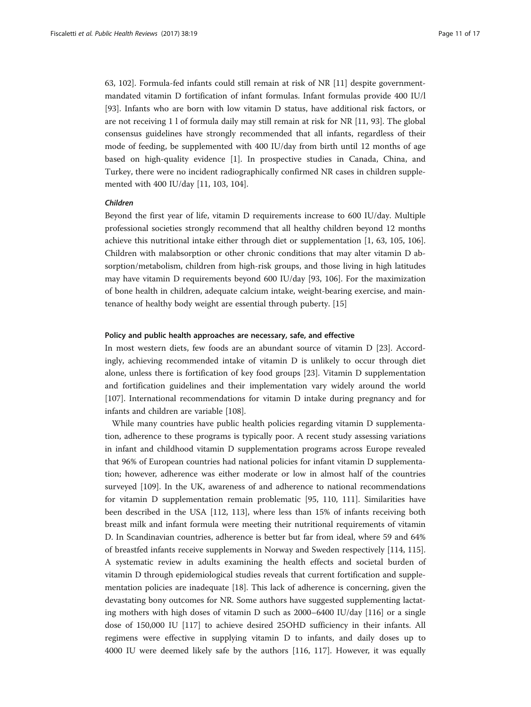[63](#page-14-0), [102\]](#page-16-0). Formula-fed infants could still remain at risk of NR [[11\]](#page-13-0) despite governmentmandated vitamin D fortification of infant formulas. Infant formulas provide 400 IU/l [[93\]](#page-15-0). Infants who are born with low vitamin D status, have additional risk factors, or are not receiving 1 l of formula daily may still remain at risk for NR [\[11](#page-13-0), [93\]](#page-15-0). The global consensus guidelines have strongly recommended that all infants, regardless of their mode of feeding, be supplemented with 400 IU/day from birth until 12 months of age based on high-quality evidence [[1\]](#page-13-0). In prospective studies in Canada, China, and Turkey, there were no incident radiographically confirmed NR cases in children supplemented with 400 IU/day [[11,](#page-13-0) [103, 104](#page-16-0)].

#### Children

Beyond the first year of life, vitamin D requirements increase to 600 IU/day. Multiple professional societies strongly recommend that all healthy children beyond 12 months achieve this nutritional intake either through diet or supplementation [[1,](#page-13-0) [63,](#page-14-0) [105](#page-16-0), [106](#page-16-0)]. Children with malabsorption or other chronic conditions that may alter vitamin D absorption/metabolism, children from high-risk groups, and those living in high latitudes may have vitamin D requirements beyond 600 IU/day [[93,](#page-15-0) [106](#page-16-0)]. For the maximization of bone health in children, adequate calcium intake, weight-bearing exercise, and maintenance of healthy body weight are essential through puberty. [\[15](#page-13-0)]

# Policy and public health approaches are necessary, safe, and effective

In most western diets, few foods are an abundant source of vitamin D [\[23](#page-13-0)]. Accordingly, achieving recommended intake of vitamin D is unlikely to occur through diet alone, unless there is fortification of key food groups [[23\]](#page-13-0). Vitamin D supplementation and fortification guidelines and their implementation vary widely around the world [[107\]](#page-16-0). International recommendations for vitamin D intake during pregnancy and for infants and children are variable [[108\]](#page-16-0).

While many countries have public health policies regarding vitamin D supplementation, adherence to these programs is typically poor. A recent study assessing variations in infant and childhood vitamin D supplementation programs across Europe revealed that 96% of European countries had national policies for infant vitamin D supplementation; however, adherence was either moderate or low in almost half of the countries surveyed [[109](#page-16-0)]. In the UK, awareness of and adherence to national recommendations for vitamin D supplementation remain problematic [\[95](#page-15-0), [110, 111\]](#page-16-0). Similarities have been described in the USA [\[112, 113\]](#page-16-0), where less than 15% of infants receiving both breast milk and infant formula were meeting their nutritional requirements of vitamin D. In Scandinavian countries, adherence is better but far from ideal, where 59 and 64% of breastfed infants receive supplements in Norway and Sweden respectively [[114](#page-16-0), [115](#page-16-0)]. A systematic review in adults examining the health effects and societal burden of vitamin D through epidemiological studies reveals that current fortification and supplementation policies are inadequate [\[18](#page-13-0)]. This lack of adherence is concerning, given the devastating bony outcomes for NR. Some authors have suggested supplementing lactating mothers with high doses of vitamin D such as 2000–6400 IU/day [[116](#page-16-0)] or a single dose of 150,000 IU [\[117](#page-16-0)] to achieve desired 25OHD sufficiency in their infants. All regimens were effective in supplying vitamin D to infants, and daily doses up to 4000 IU were deemed likely safe by the authors [\[116, 117](#page-16-0)]. However, it was equally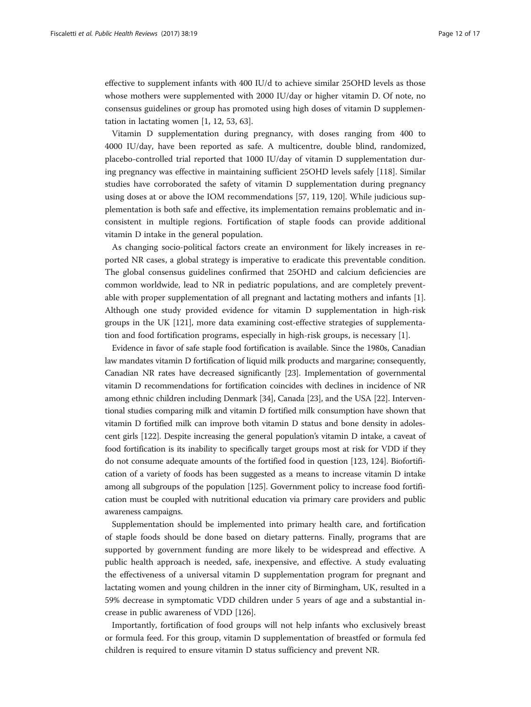effective to supplement infants with 400 IU/d to achieve similar 25OHD levels as those whose mothers were supplemented with 2000 IU/day or higher vitamin D. Of note, no consensus guidelines or group has promoted using high doses of vitamin D supplementation in lactating women [\[1, 12,](#page-13-0) [53, 63\]](#page-14-0).

Vitamin D supplementation during pregnancy, with doses ranging from 400 to 4000 IU/day, have been reported as safe. A multicentre, double blind, randomized, placebo-controlled trial reported that 1000 IU/day of vitamin D supplementation during pregnancy was effective in maintaining sufficient 25OHD levels safely [[118](#page-16-0)]. Similar studies have corroborated the safety of vitamin D supplementation during pregnancy using doses at or above the IOM recommendations [[57,](#page-14-0) [119](#page-16-0), [120](#page-16-0)]. While judicious supplementation is both safe and effective, its implementation remains problematic and inconsistent in multiple regions. Fortification of staple foods can provide additional vitamin D intake in the general population.

As changing socio-political factors create an environment for likely increases in reported NR cases, a global strategy is imperative to eradicate this preventable condition. The global consensus guidelines confirmed that 25OHD and calcium deficiencies are common worldwide, lead to NR in pediatric populations, and are completely preventable with proper supplementation of all pregnant and lactating mothers and infants [\[1](#page-13-0)]. Although one study provided evidence for vitamin D supplementation in high-risk groups in the UK [\[121\]](#page-16-0), more data examining cost-effective strategies of supplementation and food fortification programs, especially in high-risk groups, is necessary [\[1\]](#page-13-0).

Evidence in favor of safe staple food fortification is available. Since the 1980s, Canadian law mandates vitamin D fortification of liquid milk products and margarine; consequently, Canadian NR rates have decreased significantly [[23](#page-13-0)]. Implementation of governmental vitamin D recommendations for fortification coincides with declines in incidence of NR among ethnic children including Denmark [\[34\]](#page-13-0), Canada [[23](#page-13-0)], and the USA [[22](#page-13-0)]. Interventional studies comparing milk and vitamin D fortified milk consumption have shown that vitamin D fortified milk can improve both vitamin D status and bone density in adolescent girls [\[122\]](#page-16-0). Despite increasing the general population's vitamin D intake, a caveat of food fortification is its inability to specifically target groups most at risk for VDD if they do not consume adequate amounts of the fortified food in question [\[123, 124](#page-16-0)]. Biofortification of a variety of foods has been suggested as a means to increase vitamin D intake among all subgroups of the population [[125](#page-16-0)]. Government policy to increase food fortification must be coupled with nutritional education via primary care providers and public awareness campaigns.

Supplementation should be implemented into primary health care, and fortification of staple foods should be done based on dietary patterns. Finally, programs that are supported by government funding are more likely to be widespread and effective. A public health approach is needed, safe, inexpensive, and effective. A study evaluating the effectiveness of a universal vitamin D supplementation program for pregnant and lactating women and young children in the inner city of Birmingham, UK, resulted in a 59% decrease in symptomatic VDD children under 5 years of age and a substantial increase in public awareness of VDD [[126\]](#page-16-0).

Importantly, fortification of food groups will not help infants who exclusively breast or formula feed. For this group, vitamin D supplementation of breastfed or formula fed children is required to ensure vitamin D status sufficiency and prevent NR.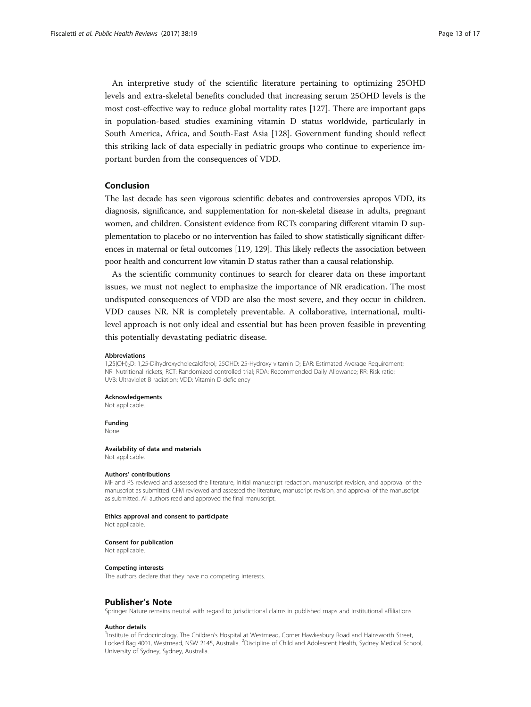An interpretive study of the scientific literature pertaining to optimizing 25OHD levels and extra-skeletal benefits concluded that increasing serum 25OHD levels is the most cost-effective way to reduce global mortality rates [\[127\]](#page-16-0). There are important gaps in population-based studies examining vitamin D status worldwide, particularly in South America, Africa, and South-East Asia [[128](#page-16-0)]. Government funding should reflect this striking lack of data especially in pediatric groups who continue to experience important burden from the consequences of VDD.

# Conclusion

The last decade has seen vigorous scientific debates and controversies apropos VDD, its diagnosis, significance, and supplementation for non-skeletal disease in adults, pregnant women, and children. Consistent evidence from RCTs comparing different vitamin D supplementation to placebo or no intervention has failed to show statistically significant differences in maternal or fetal outcomes [\[119, 129\]](#page-16-0). This likely reflects the association between poor health and concurrent low vitamin D status rather than a causal relationship.

As the scientific community continues to search for clearer data on these important issues, we must not neglect to emphasize the importance of NR eradication. The most undisputed consequences of VDD are also the most severe, and they occur in children. VDD causes NR. NR is completely preventable. A collaborative, international, multilevel approach is not only ideal and essential but has been proven feasible in preventing this potentially devastating pediatric disease.

#### Abbreviations

1,25(OH)2D: 1,25-Dihydroxycholecalciferol; 25OHD: 25-Hydroxy vitamin D; EAR: Estimated Average Requirement; NR: Nutritional rickets; RCT: Randomized controlled trial; RDA: Recommended Daily Allowance; RR: Risk ratio; UVB: Ultraviolet B radiation; VDD: Vitamin D deficiency

#### Acknowledgements

Not applicable.

Funding None.

# Availability of data and materials

Not applicable.

#### Authors' contributions

MF and PS reviewed and assessed the literature, initial manuscript redaction, manuscript revision, and approval of the manuscript as submitted. CFM reviewed and assessed the literature, manuscript revision, and approval of the manuscript as submitted. All authors read and approved the final manuscript.

#### Ethics approval and consent to participate

Not applicable.

#### Consent for publication

Not applicable.

#### Competing interests

The authors declare that they have no competing interests.

#### Publisher's Note

Springer Nature remains neutral with regard to jurisdictional claims in published maps and institutional affiliations.

#### Author details

<sup>1</sup>Institute of Endocrinology, The Children's Hospital at Westmead, Corner Hawkesbury Road and Hainsworth Street, Locked Bag 4001, Westmead, NSW 2145, Australia. <sup>2</sup>Discipline of Child and Adolescent Health, Sydney Medical School, University of Sydney, Sydney, Australia.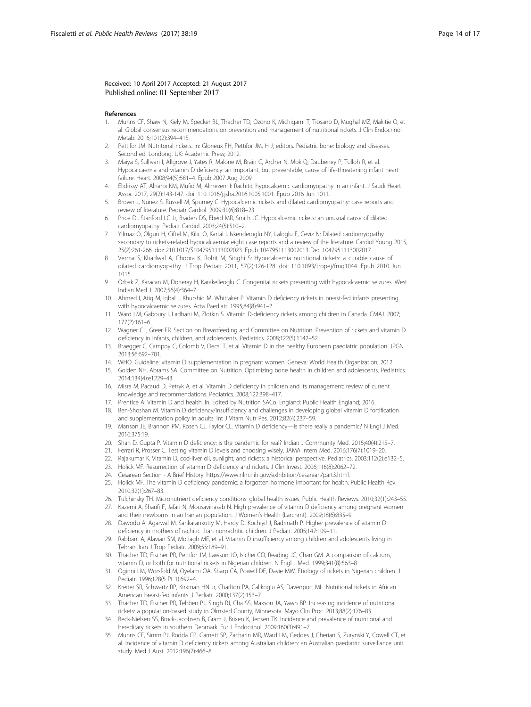#### <span id="page-13-0"></span>Received: 10 April 2017 Accepted: 21 August 2017 Published online: 01 September 2017

#### References

- 1. Munns CF, Shaw N, Kiely M, Specker BL, Thacher TD, Ozono K, Michigami T, Tiosano D, Mughal MZ, Makitie O, et al. Global consensus recommendations on prevention and management of nutritional rickets. J Clin Endocrinol Metab. 2016;101(2):394–415.
- Pettifor JM. Nutritonal rickets. In: Glorieux FH, Pettifor JM, H J, editors. Pediatric bone: biology and diseases. Second ed. Londong, UK: Academic Press; 2012.
- 3. Maiya S, Sullivan I, Allgrove J, Yates R, Malone M, Brain C, Archer N, Mok Q, Daubeney P, Tulloh R, et al. Hypocalcaemia and vitamin D deficiency: an important, but preventable, cause of life-threatening infant heart failure. Heart. 2008;94(5):581–4. Epub 2007 Aug 2009
- 4. Elidrissy AT, Alharbi KM, Mufid M, Almezeni I: Rachitic hypocalcemic cardiomyopathy in an infant. J Saudi Heart Assoc 2017, 29(2):143-147. doi: 110.1016/j.jsha.2016.1005.1001. Epub 2016 Jun 1011.
- 5. Brown J, Nunez S, Russell M, Spurney C. Hypocalcemic rickets and dilated cardiomyopathy: case reports and review of literature. Pediatr Cardiol. 2009;30(6):818–23.
- 6. Price DI, Stanford LC Jr, Braden DS, Ebeid MR, Smith JC. Hypocalcemic rickets: an unusual cause of dilated cardiomyopathy. Pediatr Cardiol. 2003;24(5):510–2.
- 7. Yilmaz O, Olgun H, Ciftel M, Kilic O, Kartal I, Iskenderoglu NY, Laloglu F, Ceviz N: Dilated cardiomyopathy secondary to rickets-related hypocalcaemia: eight case reports and a review of the literature. Cardiol Young 2015, 25(2):261-266. doi: 2[10.1017/S1047951113002023.](http://dx.doi.org/10.1017/S1047951113002023) Epub 1047951113002013 Dec 1047951113002017.
- 8. Verma S, Khadwal A, Chopra K, Rohit M, Singhi S: Hypocalcemia nutritional rickets: a curable cause of dilated cardiomyopathy. J Trop Pediatr 2011, 57(2):126-128. doi: [110.1093/tropej/fmq1044.](http://dx.doi.org/10.1093/tropej/fmq1044) Epub 2010 Jun 1015.
- 9. Orbak Z, Karacan M, Doneray H, Karakelleoglu C. Congenital rickets presenting with hypocalcaemic seizures. West Indian Med J. 2007;56(4):364–7.
- 10. Ahmed I, Atiq M, Iqbal J, Khurshid M, Whittaker P. Vitamin D deficiency rickets in breast-fed infants presenting with hypocalcaemic seizures. Acta Paediatr. 1995;84(8):941–2.
- 11. Ward LM, Gaboury I, Ladhani M, Zlotkin S. Vitamin D-deficiency rickets among children in Canada. CMAJ. 2007; 177(2):161–6.
- 12. Wagner CL, Greer FR. Section on Breastfeeding and Committee on Nutrition. Prevention of rickets and vitamin D deficiency in infants, children, and adolescents. Pediatrics. 2008;122(5):1142–52.
- 13. Braegger C, Campoy C, Colomb V, Decsi T, et al. Vitamin D in the healthy European paediatric population. JPGN. 2013;56:692–701.
- 14. WHO. Guideline: vitamin D supplementation in pregnant women. Geneva: World Health Organization; 2012.
- 15. Golden NH, Abrams SA. Committee on Nutrition. Optimizing bone health in children and adolescents. Pediatrics. 2014;134(4):e1229–43.
- 16. Misra M, Pacaud D, Petryk A, et al. Vitamin D deficiency in children and its management: review of current knowledge and recommendations. Pediatrics. 2008;122:398–417.
- 17. Prentice A: Vitamin D and health. In. Edited by Nutrition SACo. England: Public Health England; 2016.
- 18. Ben-Shoshan M. Vitamin D deficiency/insufficiency and challenges in developing global vitamin D fortification and supplementation policy in adults. Int J Vitam Nutr Res. 2012;82(4):237–59.
- 19. Manson JE, Brannon PM, Rosen CJ, Taylor CL. Vitamin D deficiency—is there really a pandemic? N Engl J Med. 2016;375:19.
- 20. Shah D, Gupta P. Vitamin D deficiency: is the pandemic for real? Indian J Community Med. 2015;40(4):215–7.
- 21. Ferrari R, Prosser C. Testing vitamin D levels and choosing wisely. JAMA Intern Med. 2016;176(7):1019–20.
- 22. Rajakumar K. Vitamin D, cod-liver oil, sunlight, and rickets: a historical perspective. Pediatrics. 2003;112(2):e132–5.
- 23. Holick MF. Resurrection of vitamin D deficiency and rickets. J Clin Invest. 2006;116(8):2062–72.
- 24. Cesarean Section A Brief History. [https://www.nlm.nih.gov/exhibition/cesarean/part3.html.](https://www.nlm.nih.gov/exhibition/cesarean/part3.html)
- 25. Holick MF. The vitamin D deficiency pandemic: a forgotten hormone important for health. Public Health Rev. 2010;32(1):267–83.
- 26. Tulchinsky TH. Micronutrient deficiency conditions: global health issues. Public Health Reviews. 2010;32(1):243–55. 27. Kazemi A, Sharifi F, Jafari N, Mousavinasab N. High prevalence of vitamin D deficiency among pregnant women
- and their newborns in an Iranian population. J Women's Health (Larchmt). 2009;18(6):835–9.
- 28. Dawodu A, Agarwal M, Sankarankutty M, Hardy D, Kochiyil J, Badrinath P. Higher prevalence of vitamin D deficiency in mothers of rachitic than nonrachitic children. J Pediatr. 2005;147:109–11.
- 29. Rabbani A, Alavian SM, Motlagh ME, et al. Vitamin D insufficiency among children and adolescents living in Tehran. Iran J Trop Pediatr. 2009;55:189–91.
- 30. Thacher TD, Fischer PR, Pettifor JM, Lawson JO, Isichei CO, Reading JC, Chan GM. A comparison of calcium, vitamin D, or both for nutritional rickets in Nigerian children. N Engl J Med. 1999;341(8):563–8.
- 31. Oginni LM, Worsfold M, Oyelami OA, Sharp CA, Powell DE, Davie MW. Etiology of rickets in Nigerian children. J Pediatr. 1996;128(5 Pt 1):692–4.
- 32. Kreiter SR, Schwartz RP, Kirkman HN Jr, Charlton PA, Calikoglu AS, Davenport ML. Nutritional rickets in African American breast-fed infants. J Pediatr. 2000;137(2):153–7.
- 33. Thacher TD, Fischer PR, Tebben PJ, Singh RJ, Cha SS, Maxson JA, Yawn BP. Increasing incidence of nutritional rickets: a population-based study in Olmsted County, Minnesota. Mayo Clin Proc. 2013;88(2):176–83.
- 34. Beck-Nielsen SS, Brock-Jacobsen B, Gram J, Brixen K, Jensen TK. Incidence and prevalence of nutritional and hereditary rickets in southern Denmark. Eur J Endocrinol. 2009;160(3):491–7.
- 35. Munns CF, Simm PJ, Rodda CP, Garnett SP, Zacharin MR, Ward LM, Geddes J, Cherian S, Zurynski Y, Cowell CT, et al. Incidence of vitamin D deficiency rickets among Australian children: an Australian paediatric surveillance unit study. Med J Aust. 2012;196(7):466–8.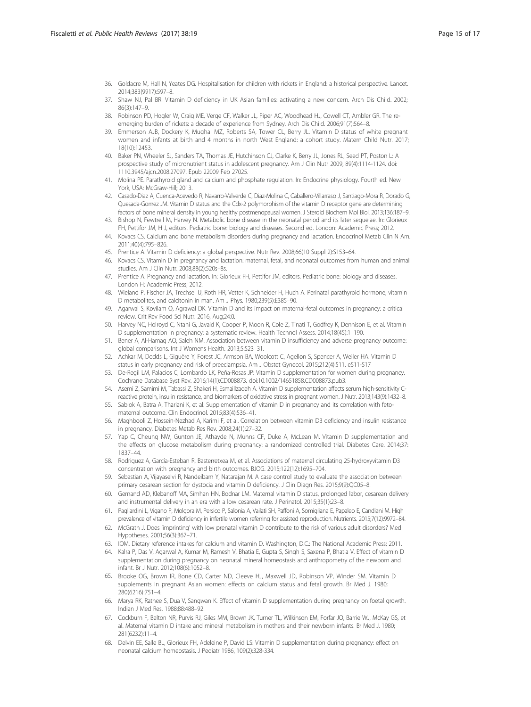- <span id="page-14-0"></span>36. Goldacre M, Hall N, Yeates DG. Hospitalisation for children with rickets in England: a historical perspective. Lancet. 2014;383(9917):597–8.
- 37. Shaw NJ, Pal BR. Vitamin D deficiency in UK Asian families: activating a new concern. Arch Dis Child. 2002; 86(3):147–9.
- 38. Robinson PD, Hogler W, Craig ME, Verge CF, Walker JL, Piper AC, Woodhead HJ, Cowell CT, Ambler GR. The reemerging burden of rickets: a decade of experience from Sydney. Arch Dis Child. 2006;91(7):564–8.
- 39. Emmerson AJB, Dockery K, Mughal MZ, Roberts SA, Tower CL, Berry JL. Vitamin D status of white pregnant women and infants at birth and 4 months in north West England: a cohort study. Matern Child Nutr. 2017; 18(10):12453.
- 40. Baker PN, Wheeler SJ, Sanders TA, Thomas JE, Hutchinson CJ, Clarke K, Berry JL, Jones RL, Seed PT, Poston L: A prospective study of micronutrient status in adolescent pregnancy. Am J Clin Nutr 2009, 89(4):1114-1124. doi: 1[110.3945/ajcn.2008.27097](http://dx.doi.org/10.3945/ajcn.2008.27097). Epub 22009 Feb 27025.
- 41. Molina PE. Parathyroid gland and calcium and phosphate regulation. In: Endocrine physiology. Fourth ed. New York, USA: McGraw-Hill; 2013.
- 42. Casado-Diaz A, Cuenca-Acevedo R, Navarro-Valverde C, Diaz-Molina C, Caballero-Villarraso J, Santiago-Mora R, Dorado G, Quesada-Gomez JM. Vitamin D status and the Cdx-2 polymorphism of the vitamin D receptor gene are determining factors of bone mineral density in young healthy postmenopausal women. J Steroid Biochem Mol Biol. 2013;136:187–9.
- 43. Bishop N, Fewtrell M, Harvey N. Metabolic bone disease in the neonatal period and its later sequelae. In: Glorieux FH, Pettifor JM, H J, editors. Pediatric bone: biology and diseases. Second ed. London: Academic Press; 2012.
- 44. Kovacs CS. Calcium and bone metabolism disorders during pregnancy and lactation. Endocrinol Metab Clin N Am. 2011;40(4):795–826.
- 45. Prentice A. Vitamin D deficiency: a global perspective. Nutr Rev. 2008;66(10 Suppl 2):S153–64.
- 46. Kovacs CS. Vitamin D in pregnancy and lactation: maternal, fetal, and neonatal outcomes from human and animal studies. Am J Clin Nutr. 2008;88(2):520s–8s.
- 47. Prentice A. Pregnancy and lactation. In: Glorieux FH, Pettifor JM, editors. Pediatric bone: biology and diseases. London H: Academic Press; 2012.
- 48. Wieland P, Fischer JA, Trechsel U, Roth HR, Vetter K, Schneider H, Huch A. Perinatal parathyroid hormone, vitamin D metabolites, and calcitonin in man. Am J Phys. 1980;239(5):E385–90.
- 49. Agarwal S, Kovilam O, Agrawal DK. Vitamin D and its impact on maternal-fetal outcomes in pregnancy: a critical review. Crit Rev Food Sci Nutr. 2016, Aug;24:0.
- 50. Harvey NC, Holroyd C, Ntani G, Javaid K, Cooper P, Moon R, Cole Z, Tinati T, Godfrey K, Dennison E, et al. Vitamin D supplementation in pregnancy: a systematic review. Health Technol Assess. 2014;18(45):1–190.
- 51. Bener A, Al-Hamaq AO, Saleh NM. Association between vitamin D insufficiency and adverse pregnancy outcome: global comparisons. Int J Womens Health. 2013;5:523–31.
- 52. Achkar M, Dodds L, Giguère Y, Forest JC, Armson BA, Woolcott C, Agellon S, Spencer A, Weiler HA. Vitamin D status in early pregnancy and risk of preeclampsia. Am J Obstet Gynecol. 2015;212(4):511. e511-517
- 53. De-Regil LM, Palacios C, Lombardo LK, Peña-Rosas JP: Vitamin D supplementation for women during pregnancy. Cochrane Database Syst Rev. 2016;14(1):CD008873. doi:[10.1002/14651858.CD008873.pub3](http://dx.doi.org/10.1002/14651858.CD008873.pub3).
- 54. Asemi Z, Samimi M, Tabassi Z, Shakeri H, Esmaillzadeh A. Vitamin D supplementation affects serum high-sensitivity Creactive protein, insulin resistance, and biomarkers of oxidative stress in pregnant women. J Nutr. 2013;143(9):1432–8.
- 55. Sablok A, Batra A, Thariani K, et al. Supplementation of vitamin D in pregnancy and its correlation with fetomaternal outcome. Clin Endocrinol. 2015;83(4):536–41.
- 56. Maghbooli Z, Hossein-Nezhad A, Karimi F, et al. Correlation between vitamin D3 deficiency and insulin resistance in pregnancy. Diabetes Metab Res Rev. 2008;24(1):27–32.
- 57. Yap C, Cheung NW, Gunton JE, Athayde N, Munns CF, Duke A, McLean M. Vitamin D supplementation and the effects on glucose metabolism during pregnancy: a randomized controlled trial. Diabetes Care. 2014;37: 1837–44.
- 58. Rodriguez A, García-Esteban R, Basterretxea M, et al. Associations of maternal circulating 25-hydroxyvitamin D3 concentration with pregnancy and birth outcomes. BJOG. 2015;122(12):1695–704.
- 59. Sebastian A, Vijayaselvi R, Nandeibam Y, Natarajan M. A case control study to evaluate the association between primary cesarean section for dystocia and vitamin D deficiency. J Clin Diagn Res. 2015;9(9):QC05–8.
- 60. Gernand AD, Klebanoff MA, Simhan HN, Bodnar LM. Maternal vitamin D status, prolonged labor, cesarean delivery and instrumental delivery in an era with a low cesarean rate. J Perinatol. 2015;35(1):23–8.
- 61. Pagliardini L, Vigano P, Molgora M, Persico P, Salonia A, Vailati SH, Paffoni A, Somigliana E, Papaleo E, Candiani M. High prevalence of vitamin D deficiency in infertile women referring for assisted reproduction. Nutrients. 2015;7(12):9972–84.
- 62. McGrath J. Does 'imprinting' with low prenatal vitamin D contribute to the risk of various adult disorders? Med Hypotheses. 2001;56(3):367–71.
- 63. IOM. Dietary reference intakes for calcium and vitamin D. Washington, D.C.: The National Academic Press; 2011.
- 64. Kalra P, Das V, Agarwal A, Kumar M, Ramesh V, Bhatia E, Gupta S, Singh S, Saxena P, Bhatia V. Effect of vitamin D supplementation during pregnancy on neonatal mineral homeostasis and anthropometry of the newborn and infant. Br J Nutr. 2012;108(6):1052–8.
- 65. Brooke OG, Brown IR, Bone CD, Carter ND, Cleeve HJ, Maxwell JD, Robinson VP, Winder SM. Vitamin D supplements in pregnant Asian women: effects on calcium status and fetal growth. Br Med J. 1980; 280(6216):751–4.
- 66. Marya RK, Rathee S, Dua V, Sangwan K. Effect of vitamin D supplementation during pregnancy on foetal growth. Indian J Med Res. 1988;88:488–92.
- 67. Cockburn F, Belton NR, Purvis RJ, Giles MM, Brown JK, Turner TL, Wilkinson EM, Forfar JO, Barrie WJ, McKay GS, et al. Maternal vitamin D intake and mineral metabolism in mothers and their newborn infants. Br Med J. 1980; 281(6232):11–4.
- 68. Delvin EE, Salle BL, Glorieux FH, Adeleine P, David LS: Vitamin D supplementation during pregnancy: effect on neonatal calcium homeostasis. J Pediatr 1986, 109(2):328-334.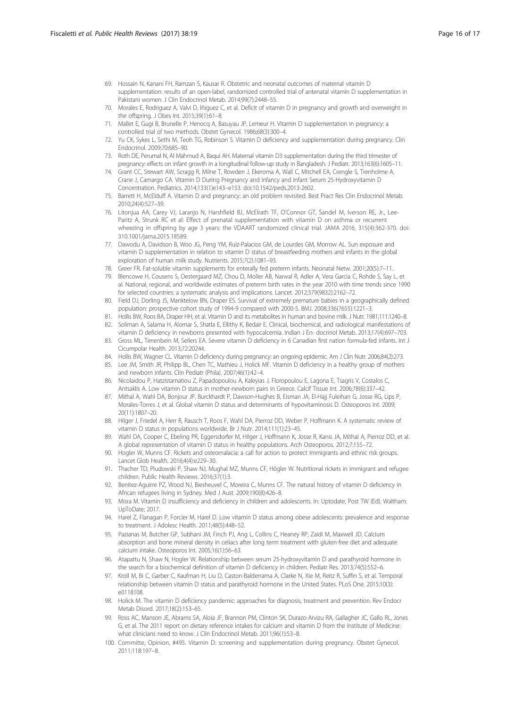- <span id="page-15-0"></span>69. Hossain N, Kanani FH, Ramzan S, Kausar R. Obstetric and neonatal outcomes of maternal vitamin D supplementation: results of an open-label, randomized controlled trial of antenatal vitamin D supplementation in Pakistani women. J Clin Endocrinol Metab. 2014;99(7):2448–55.
- 70. Morales E, Rodriguez A, Valvi D, Iñiguez C, et al. Deficit of vitamin D in pregnancy and growth and overweight in the offspring. J Obes Int. 2015;39(1):61–8.
- 71. Mallet E, Gugi B, Brunelle P, Henocq A, Basuyau JP, Lemeur H. Vitamin D supplementation in pregnancy: a controlled trial of two methods. Obstet Gynecol. 1986;68(3):300–4.
- 72. Yu CK, Sykes L, Sethi M, Teoh TG, Robinson S. Vitamin D deficiency and supplementation during pregnancy. Clin Endocrinol. 2009;70:685–90.
- 73. Roth DE, Perumal N, Al Mahmud A, Baqui AH. Maternal vitamin D3 supplementation during the third trimester of pregnancy: effects on infant growth in a longitudinal follow-up study in Bangladesh. J Pediatr. 2013;163(6):1605–11.
- 74. Grant CC, Stewart AW, Scragg R, Milne T, Rowden J, Ekeroma A, Wall C, Mitchell EA, Crengle S, Trenholme A, Crane J, Camargo CA. Vitamin D During Pregnancy and Infancy and Infant Serum 25-Hydroxyvitamin D Concentration. Pediatrics. 2014;133(1)e143–e153. doi[:10.1542/peds.2013-2602.](http://dx.doi.org/10.1542/peds.2013-2602)
- 75. Barrett H, McElduff A. Vitamin D and pregnancy: an old problem revisited. Best Pract Res Clin Endocrinol Metab. 2010;24(4):527–39.
- 76. Litonjua AA, Carey VJ, Laranjo N, Harshfield BJ, McElrath TF, O'Connor GT, Sandel M, Iverson RE, Jr., Lee-Paritz A, Strunk RC et al: Effect of prenatal supplementation with vitamin D on asthma or recurrent wheezing in offspring by age 3 years: the VDAART randomized clinical trial. JAMA 2016, 315(4):362-370. doi: [310.1001/jama.2015.18589](http://dx.doi.org/10.1001/jama.2015.18589).
- 77. Dawodu A, Davidson B, Woo JG, Peng YM, Ruiz-Palacios GM, de Lourdes GM, Morrow AL. Sun exposure and vitamin D supplementation in relation to vitamin D status of breastfeeding mothers and infants in the global exploration of human milk study. Nutrients. 2015;7(2):1081–93.
- 78. Greer FR. Fat-soluble vitamin supplements for enterally fed preterm infants. Neonatal Netw. 2001;20(5):7–11.
- 79. Blencowe H, Cousens S, Oestergaard MZ, Chou D, Moller AB, Narwal R, Adler A, Vera Garcia C, Rohde S, Say L, et al. National, regional, and worldwide estimates of preterm birth rates in the year 2010 with time trends since 1990 for selected countries: a systematic analysis and implications. Lancet. 2012;379(9832):2162–72.
- 80. Field DJ, Dorling JS, Manktelow BN, Draper ES. Survival of extremely premature babies in a geographically defined population: prospective cohort study of 1994-9 compared with 2000-5. BMJ. 2008;336(7655):1221–3.
- 81. Hollis BW, Roos BA, Draper HH, et al. Vitamin D and its metabolites in human and bovine milk. J Nutr. 1981;111:1240–8. 82. Soliman A, Salama H, Alomar S, Shatla E, Ellithy K, Bedair E. Clinical, biochemical, and radiological manifestations of
- vitamin D deficiency in newborns presented with hypocalcemia. Indian J En- docrinol Metab. 2013;17(4):697–703. 83. Gross ML, Tenenbein M, Sellers EA. Severe vitamin D deficiency in 6 Canadian first nation formula-fed infants. Int J Cicumpolar Health. 2013;72:20244.
- 84. Hollis BW, Wagner CL. Vitamin D deficiency during pregnancy: an ongoing epidemic. Am J Clin Nutr. 2006;84(2):273.
- 85. Lee JM, Smith JR, Philipp BL, Chen TC, Mathieu J, Holick MF. Vitamin D deficiency in a healthy group of mothers and newborn infants. Clin Pediatr (Phila). 2007;46(1):42–4.
- 86. Nicolaidou P, Hatzistamatiou Z, Papadopoulou A, Kaleyias J, Floropoulou E, Lagona E, Tsagris V, Costalos C, Antsaklis A. Low vitamin D status in mother-newborn pairs in Greece. Calcif Tissue Int. 2006;78(6):337–42.
- 87. Mithal A, Wahl DA, Bonjour JP, Burckhardt P, Dawson-Hughes B, Eisman JA, El-Hajj Fuleihan G, Josse RG, Lips P, Morales-Torres J, et al. Global vitamin D status and determinants of hypovitaminosis D. Osteoporos Int. 2009; 20(11):1807–20.
- 88. Hilger J, Friedel A, Herr R, Rausch T, Roos F, Wahl DA, Pierroz DD, Weber P, Hoffmann K. A systematic review of vitamin D status in populations worldwide. Br J Nutr. 2014;111(1):23–45.
- 89. Wahl DA, Cooper C, Ebeling PR, Eggersdorfer M, Hilger J, Hoffmann K, Josse R, Kanis JA, Mithal A, Pierroz DD, et al. A global representation of vitamin D status in healthy populations. Arch Osteoporos. 2012;7:155–72.
- 90. Hogler W, Munns CF. Rickets and osteomalacia: a call for action to protect immigrants and ethnic risk groups. Lancet Glob Health. 2016;4(4):e229–30.
- 91. Thacher TD, Pludowski P, Shaw NJ, Mughal MZ, Munns CF, Högler W. Nutritional rickets in immigrant and refugee children. Public Health Reviews. 2016;37(1):3.
- 92. Benitez-Aguirre PZ, Wood NJ, Biesheuvel C, Moreira C, Munns CF. The natural history of vitamin D deficiency in African refugees living in Sydney. Med J Aust. 2009;190(8):426–8.
- 93. Misra M. Vitamin D insufficiency and deficiency in children and adolescents. In: Uptodate, Post TW (Ed). Waltham: UpToDate; 2017.
- 94. Harel Z, Flanagan P, Forcier M, Harel D. Low vitamin D status among obese adolescents: prevalence and response to treatment. J Adolesc Health. 2011;48(5):448–52.
- 95. Pazianas M, Butcher GP, Subhani JM, Finch PJ, Ang L, Collins C, Heaney RP, Zaidi M, Maxwell JD. Calcium absorption and bone mineral density in celiacs after long term treatment with gluten-free diet and adequate calcium intake. Osteoporos Int. 2005;16(1):56–63.
- 96. Atapattu N, Shaw N, Hogler W. Relationship between serum 25-hydroxyvitamin D and parathyroid hormone in the search for a biochemical definition of vitamin D deficiency in children. Pediatr Res. 2013;74(5):552–6.
- 97. Kroll M, Bi C, Garber C, Kaufman H, Liu D, Caston-Balderrama A, Clarke N, Xie M, Reitz R, Suffin S, et al. Temporal relationship between vitamin D status and parathyroid hormone in the United States. PLoS One. 2015;10(3): e0118108.
- 98. Holick M. The vitamin D deficiency pandemic: approaches for diagnosis, treatment and prevention. Rev Endocr Metab Disord. 2017;18(2):153–65.
- 99. Ross AC, Manson JE, Abrams SA, Aloia JF, Brannon PM, Clinton SK, Durazo-Arvizu RA, Gallagher JC, Gallo RL, Jones G, et al. The 2011 report on dietary reference intakes for calcium and vitamin D from the Institute of Medicine: what clinicians need to know. J Clin Endocrinol Metab. 2011;96(1):53–8.
- 100. Committe, Opinion, #495. Vitamin D: screening and supplementation during pregnancy. Obstet Gynecol. 2011;118:197–8.